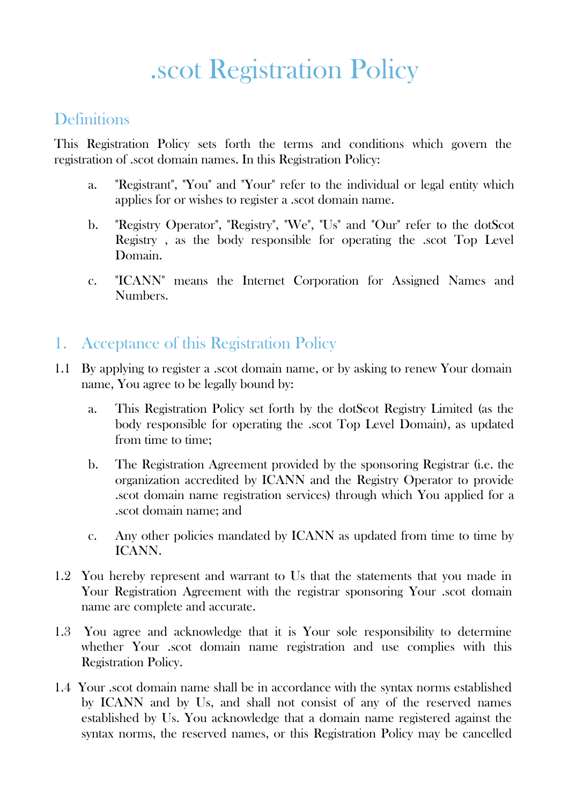# .scot Registration Policy

# **Definitions**

This Registration Policy sets forth the terms and conditions which govern the registration of .scot domain names. In this Registration Policy:

- a. "Registrant", "You" and "Your" refer to the individual or legal entity which applies for or wishes to register a .scot domain name.
- b. "Registry Operator", "Registry", "We", "Us" and "Our" refer to the dotScot Registry , as the body responsible for operating the .scot Top Level Domain.
- c. "ICANN" means the Internet Corporation for Assigned Names and Numbers.

# 1. Acceptance of this Registration Policy

- 1.1 By applying to register a .scot domain name, or by asking to renew Your domain name, You agree to be legally bound by:
	- a. This Registration Policy set forth by the dotScot Registry Limited (as the body responsible for operating the .scot Top Level Domain), as updated from time to time;
	- b. The Registration Agreement provided by the sponsoring Registrar (i.e. the organization accredited by ICANN and the Registry Operator to provide .scot domain name registration services) through which You applied for a .scot domain name; and
	- c. Any other policies mandated by ICANN as updated from time to time by ICANN.
- 1.2 You hereby represent and warrant to Us that the statements that you made in Your Registration Agreement with the registrar sponsoring Your .scot domain name are complete and accurate.
- 1.3 You agree and acknowledge that it is Your sole responsibility to determine whether Your .scot domain name registration and use complies with this Registration Policy.
- 1.4 Your .scot domain name shall be in accordance with the syntax norms established by ICANN and by Us, and shall not consist of any of the reserved names established by Us. You acknowledge that a domain name registered against the syntax norms, the reserved names, or this Registration Policy may be cancelled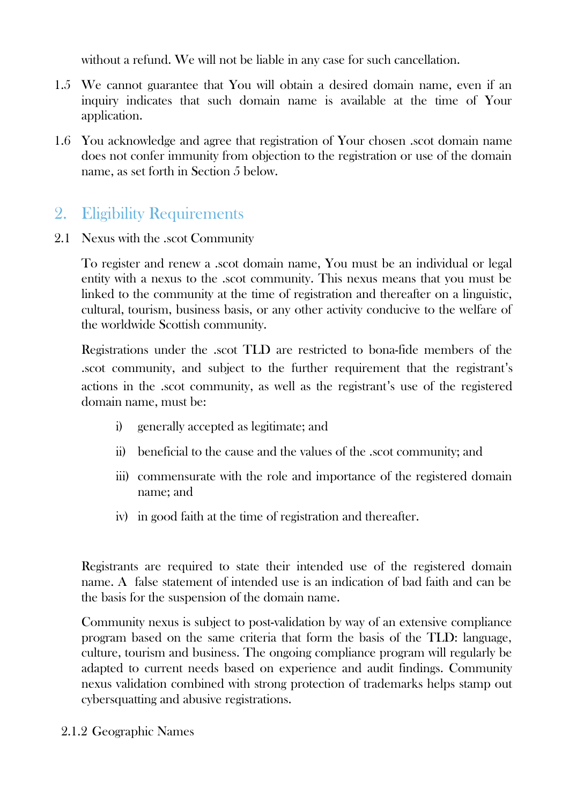without a refund. We will not be liable in any case for such cancellation.

- 1.5 We cannot guarantee that You will obtain a desired domain name, even if an inquiry indicates that such domain name is available at the time of Your application.
- 1.6 You acknowledge and agree that registration of Your chosen .scot domain name does not confer immunity from objection to the registration or use of the domain name, as set forth in Section 5 below.

# 2. Eligibility Requirements

2.1 Nexus with the .scot Community

To register and renew a .scot domain name, You must be an individual or legal entity with a nexus to the .scot community. This nexus means that you must be linked to the community at the time of registration and thereafter on a linguistic, cultural, tourism, business basis, or any other activity conducive to the welfare of the worldwide Scottish community.

Registrations under the .scot TLD are restricted to bona-fide members of the .scot community, and subject to the further requirement that the registrant's actions in the .scot community, as well as the registrant's use of the registered domain name, must be:

- i) generally accepted as legitimate; and
- ii) beneficial to the cause and the values of the .scot community; and
- iii) commensurate with the role and importance of the registered domain name; and
- iv) in good faith at the time of registration and thereafter.

Registrants are required to state their intended use of the registered domain name. A false statement of intended use is an indication of bad faith and can be the basis for the suspension of the domain name.

Community nexus is subject to post-validation by way of an extensive compliance program based on the same criteria that form the basis of the TLD: language, culture, tourism and business. The ongoing compliance program will regularly be adapted to current needs based on experience and audit findings. Community nexus validation combined with strong protection of trademarks helps stamp out cybersquatting and abusive registrations.

2.1.2 Geographic Names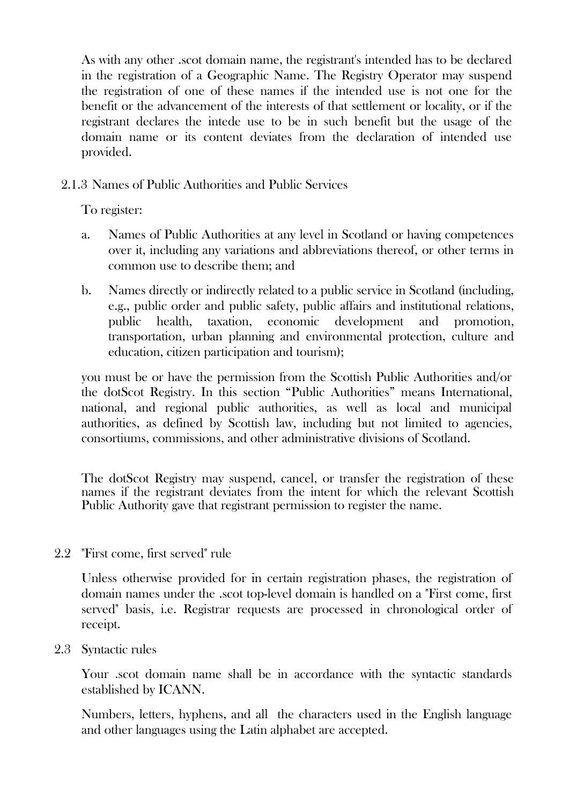As with any other .scot domain name, the registrant's intended has to be declared in the registration of a Geographic Name. The Registry Operator may suspend the registration of one of these names if the intended use is not one for the benefit or the advancement of the interests of that settlement or locality, or if the registrant declares the intede use to be in such benefit but the usage of the domain name or its content deviates from the declaration of intended use provided.

2.1.3 Names of Public Authorities and Public Services

To register:

- a. Names of Public Authorities at any level in Scotland or having competences over it, including any variations and abbreviations thereof, or other terms in common use to describe them; and
- b. Names directly or indirectly related to a public service in Scotland (including, e.g., public order and public safety, public affairs and institutional relations, public health, taxation, economic development and promotion, transportation, urban planning and environmental protection, culture and education, citizen participation and tourism);

you must be or have the permission from the Scottish Public Authorities and/or the dotScot Registry. In this section "Public Authorities" means International, national, and regional public authorities, as well as local and municipal authorities, as defined by Scottish law, including but not limited to agencies, consortiums, commissions, and other administrative divisions of Scotland.

The dotScot Registry may suspend, cancel, or transfer the registration of these names if the registrant deviates from the intent for which the relevant Scottish Public Authority gave that registrant permission to register the name.

2.2 "First come, first served" rule

Unless otherwise provided for in certain registration phases, the registration of domain names under the .scot top-level domain is handled on a "First come, first served" basis, i.e. Registrar requests are processed in chronological order of receipt.

2.3 Syntactic rules

Your .scot domain name shall be in accordance with the syntactic standards established by ICANN.

Numbers, letters, hyphens, and all the characters used in the English language and other languages using the Latin alphabet are accepted.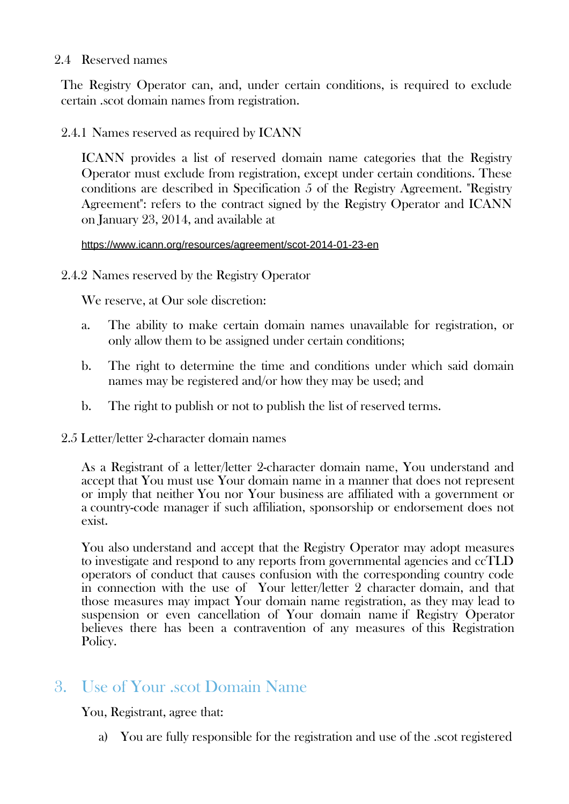#### 2.4 Reserved names

The Registry Operator can, and, under certain conditions, is required to exclude certain .scot domain names from registration.

2.4.1 Names reserved as required by ICANN

ICANN provides a list of reserved domain name categories that the Registry Operator must exclude from registration, except under certain conditions. These conditions are described in Specification 5 of the Registry Agreement. "Registry Agreement": refers to the contract signed by the Registry Operator and ICANN on January 23, 2014, and available at

#### <https://www.icann.org/resources/agreement/scot-2014-01-23-en>

2.4.2 Names reserved by the Registry Operator

We reserve, at Our sole discretion:

- a. The ability to make certain domain names unavailable for registration, or only allow them to be assigned under certain conditions;
- b. The right to determine the time and conditions under which said domain names may be registered and/or how they may be used; and
- b. The right to publish or not to publish the list of reserved terms.
- 2.5 Letter/letter 2-character domain names

As a Registrant of a letter/letter 2-character domain name, You understand and accept that You must use Your domain name in a manner that does not represent or imply that neither You nor Your business are affiliated with a government or a country-code manager if such affiliation, sponsorship or endorsement does not exist.

You also understand and accept that the Registry Operator may adopt measures to investigate and respond to any reports from governmental agencies and ccTLD operators of conduct that causes confusion with the corresponding country code in connection with the use of Your letter/letter 2 character domain, and that those measures may impact Your domain name registration, as they may lead to suspension or even cancellation of Your domain name if Registry Operator believes there has been a contravention of any measures of this Registration Policy.

# 3. Use of Your .scot Domain Name

You, Registrant, agree that:

a) You are fully responsible for the registration and use of the .scot registered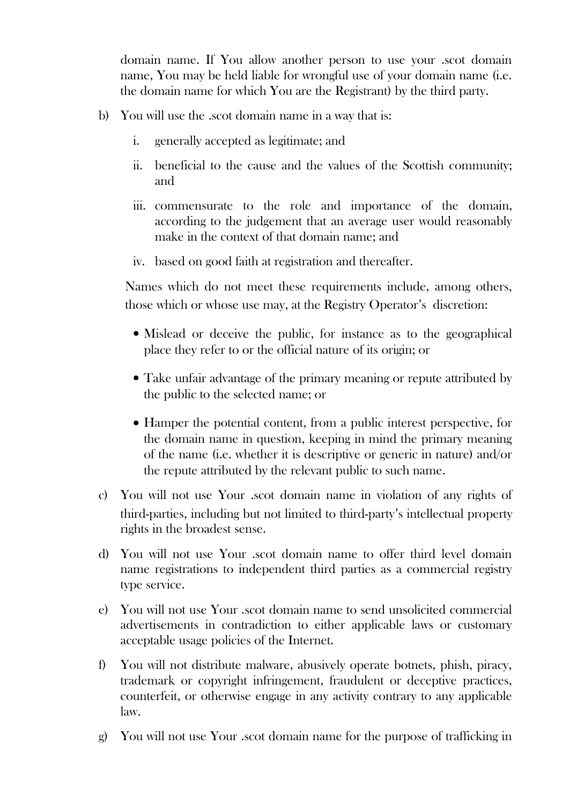domain name. If You allow another person to use your .scot domain name, You may be held liable for wrongful use of your domain name (i.e. the domain name for which You are the Registrant) by the third party.

- b) You will use the .scot domain name in a way that is:
	- i. generally accepted as legitimate; and
	- ii. beneficial to the cause and the values of the Scottish community; and
	- iii. commensurate to the role and importance of the domain, according to the judgement that an average user would reasonably make in the context of that domain name; and
	- iv. based on good faith at registration and thereafter.

Names which do not meet these requirements include, among others, those which or whose use may, at the Registry Operator's discretion:

- Mislead or deceive the public, for instance as to the geographical place they refer to or the official nature of its origin; or
- Take unfair advantage of the primary meaning or repute attributed by the public to the selected name; or
- Hamper the potential content, from a public interest perspective, for the domain name in question, keeping in mind the primary meaning of the name (i.e. whether it is descriptive or generic in nature) and/or the repute attributed by the relevant public to such name.
- c) You will not use Your .scot domain name in violation of any rights of third-parties, including but not limited to third-party's intellectual property rights in the broadest sense.
- d) You will not use Your .scot domain name to offer third level domain name registrations to independent third parties as a commercial registry type service.
- e) You will not use Your .scot domain name to send unsolicited commercial advertisements in contradiction to either applicable laws or customary acceptable usage policies of the Internet.
- f) You will not distribute malware, abusively operate botnets, phish, piracy, trademark or copyright infringement, fraudulent or deceptive practices, counterfeit, or otherwise engage in any activity contrary to any applicable law.
- g) You will not use Your .scot domain name for the purpose of trafficking in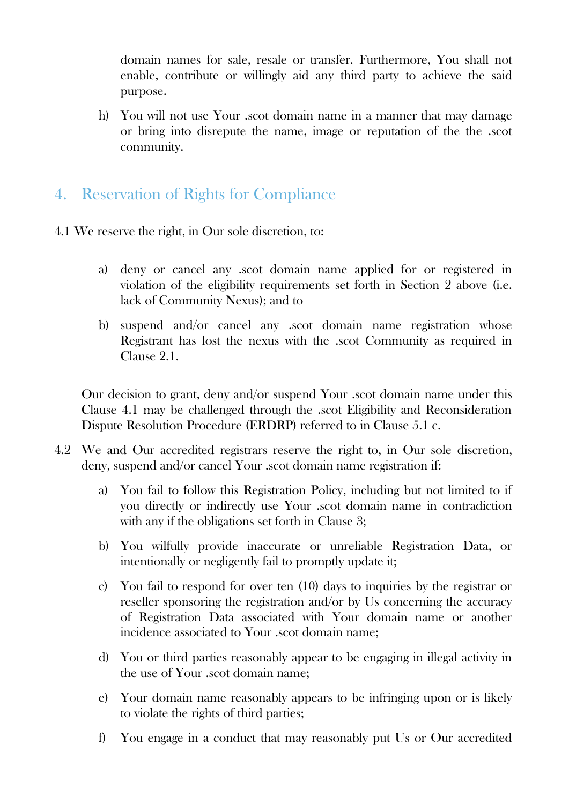domain names for sale, resale or transfer. Furthermore, You shall not enable, contribute or willingly aid any third party to achieve the said purpose.

- h) You will not use Your .scot domain name in a manner that may damage or bring into disrepute the name, image or reputation of the the .scot community.
- 4. Reservation of Rights for Compliance
- 4.1 We reserve the right, in Our sole discretion, to:
	- a) deny or cancel any .scot domain name applied for or registered in violation of the eligibility requirements set forth in Section 2 above (i.e. lack of Community Nexus); and to
	- b) suspend and/or cancel any .scot domain name registration whose Registrant has lost the nexus with the .scot Community as required in Clause 2.1.

Our decision to grant, deny and/or suspend Your .scot domain name under this Clause 4.1 may be challenged through the .scot Eligibility and Reconsideration Dispute Resolution Procedure (ERDRP) referred to in Clause 5.1 c.

- 4.2 We and Our accredited registrars reserve the right to, in Our sole discretion, deny, suspend and/or cancel Your .scot domain name registration if:
	- a) You fail to follow this Registration Policy, including but not limited to if you directly or indirectly use Your .scot domain name in contradiction with any if the obligations set forth in Clause 3;
	- b) You wilfully provide inaccurate or unreliable Registration Data, or intentionally or negligently fail to promptly update it;
	- c) You fail to respond for over ten (10) days to inquiries by the registrar or reseller sponsoring the registration and/or by Us concerning the accuracy of Registration Data associated with Your domain name or another incidence associated to Your .scot domain name;
	- d) You or third parties reasonably appear to be engaging in illegal activity in the use of Your .scot domain name;
	- e) Your domain name reasonably appears to be infringing upon or is likely to violate the rights of third parties;
	- f) You engage in a conduct that may reasonably put Us or Our accredited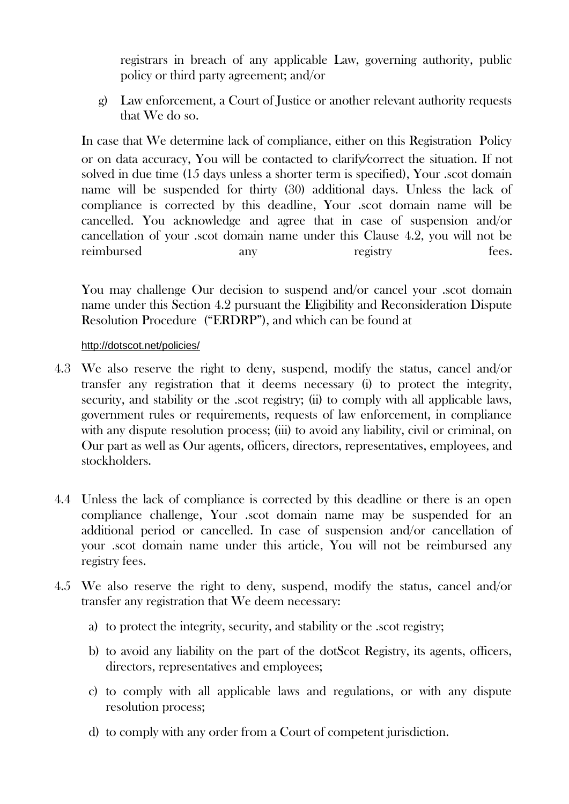registrars in breach of any applicable Law, governing authority, public policy or third party agreement; and/or

g) Law enforcement, a Court of Justice or another relevant authority requests that We do so.

In case that We determine lack of compliance, either on this Registration Policy or on data accuracy, You will be contacted to clarify⁄correct the situation. If not solved in due time (15 days unless a shorter term is specified), Your .scot domain name will be suspended for thirty (30) additional days. Unless the lack of compliance is corrected by this deadline, Your .scot domain name will be cancelled. You acknowledge and agree that in case of suspension and/or cancellation of your .scot domain name under this Clause 4.2, you will not be reimbursed any registry fees.

You may challenge Our decision to suspend and/or cancel your scot domain name under this Section 4.2 pursuant the Eligibility and Reconsideration Dispute Resolution Procedure ("ERDRP"), and which can be found at

#### <http://dotscot.net/policies/>

- 4.3 We also reserve the right to deny, suspend, modify the status, cancel and/or transfer any registration that it deems necessary (i) to protect the integrity, security, and stability or the .scot registry; (ii) to comply with all applicable laws, government rules or requirements, requests of law enforcement, in compliance with any dispute resolution process; (iii) to avoid any liability, civil or criminal, on Our part as well as Our agents, officers, directors, representatives, employees, and stockholders.
- 4.4 Unless the lack of compliance is corrected by this deadline or there is an open compliance challenge, Your .scot domain name may be suspended for an additional period or cancelled. In case of suspension and/or cancellation of your .scot domain name under this article, You will not be reimbursed any registry fees.
- 4.5 We also reserve the right to deny, suspend, modify the status, cancel and/or transfer any registration that We deem necessary:
	- a) to protect the integrity, security, and stability or the .scot registry;
	- b) to avoid any liability on the part of the dotScot Registry, its agents, officers, directors, representatives and employees;
	- c) to comply with all applicable laws and regulations, or with any dispute resolution process;
	- d) to comply with any order from a Court of competent jurisdiction.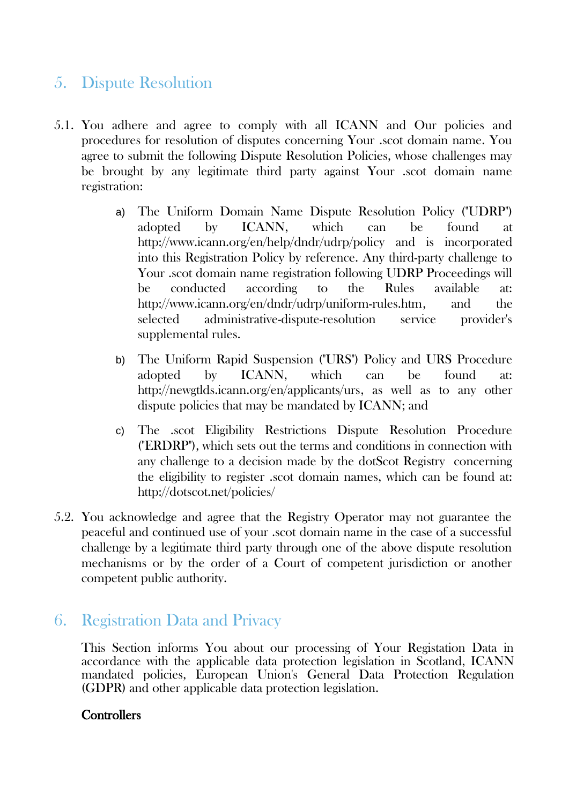# 5. Dispute Resolution

- 5.1. You adhere and agree to comply with all ICANN and Our policies and procedures for resolution of disputes concerning Your .scot domain name. You agree to submit the following Dispute Resolution Policies, whose challenges may be brought by any legitimate third party against Your .scot domain name registration:
	- a) The Uniform Domain Name Dispute Resolution Policy ("UDRP") adopted by ICANN, which can be found at <http://www.icann.org/en/help/dndr/udrp/policy>and is incorporated into this Registration Policy by reference. Any third-party challenge to Your .scot domain name registration following UDRP Proceedings will be conducted according to the Rules available at: [http://www.icann.org/en/dndr/udrp/uniform-rules.htm,](http://www.icann.org/en/dndr/udrp/uniform-rules.htm) and the selected administrative-dispute-resolution service provider's supplemental rules.
	- b) The Uniform Rapid Suspension ("URS") Policy and URS Procedure adopted by ICANN, which can be found at: [http://newgtlds.icann.org/en/applicants/urs,](http://newgtlds.icann.org/en/applicants/urs) as well as to any other dispute policies that may be mandated by ICANN; and
	- c) The .scot Eligibility Restrictions Dispute Resolution Procedure ("ERDRP"), which sets out the terms and conditions in connection with any challenge to a decision made by the dotScot Registry concerning the eligibility to register .scot domain names, which can be found at: <http://dotscot.net/policies/>
- 5.2. You acknowledge and agree that the Registry Operator may not guarantee the peaceful and continued use of your .scot domain name in the case of a successful challenge by a legitimate third party through one of the above dispute resolution mechanisms or by the order of a Court of competent jurisdiction or another competent public authority.

# 6. Registration Data and Privacy

This Section informs You about our processing of Your Registation Data in accordance with the applicable data protection legislation in Scotland, ICANN mandated policies, European Union's General Data Protection Regulation (GDPR) and other applicable data protection legislation.

## **Controllers**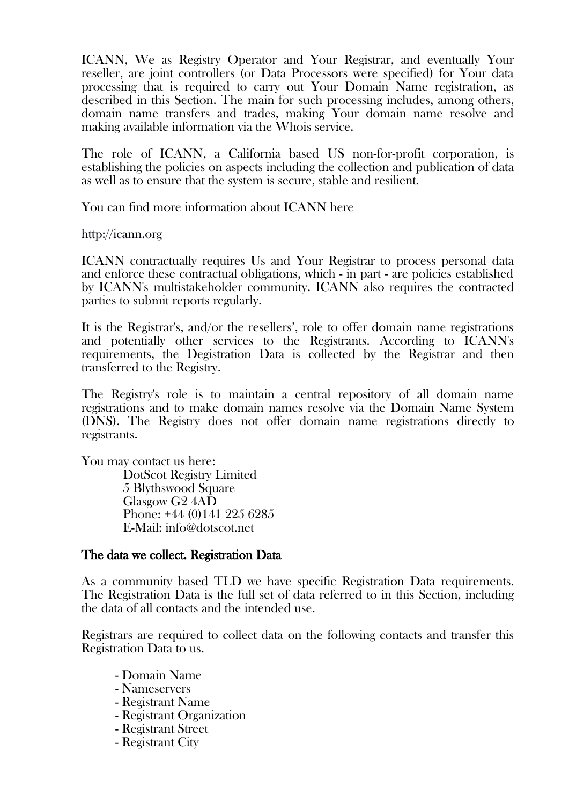ICANN, We as Registry Operator and Your Registrar, and eventually Your reseller, are joint controllers (or Data Processors were specified) for Your data processing that is required to carry out Your Domain Name registration, as described in this Section. The main for such processing includes, among others, domain name transfers and trades, making Your domain name resolve and making available information via the Whois service.

The role of ICANN, a California based US non-for-profit corporation, is establishing the policies on aspects including the collection and publication of data as well as to ensure that the system is secure, stable and resilient.

You can find more information about ICANN here

[http://icann.org](http://icann.org/)

ICANN contractually requires Us and Your Registrar to process personal data and enforce these contractual obligations, which - in part - are policies established by ICANN's multistakeholder community. ICANN also requires the contracted parties to submit reports regularly.

It is the Registrar's, and/or the resellers', role to offer domain name registrations and potentially other services to the Registrants. According to ICANN's requirements, the Degistration Data is collected by the Registrar and then transferred to the Registry.

The Registry's role is to maintain a central repository of all domain name registrations and to make domain names resolve via the Domain Name System (DNS). The Registry does not offer domain name registrations directly to registrants.

You may contact us here:

DotScot Registry Limited 5 Blythswood Square Glasgow G2 4AD Phone: +44 (0)141 225 6285 E-Mail: info@dotscot.net

#### The data we collect. Registration Data

As a community based TLD we have specific Registration Data requirements. The Registration Data is the full set of data referred to in this Section, including the data of all contacts and the intended use.

Registrars are required to collect data on the following contacts and transfer this Registration Data to us.

- Domain Name
- Nameservers
- Registrant Name
- Registrant Organization
- Registrant Street
- Registrant City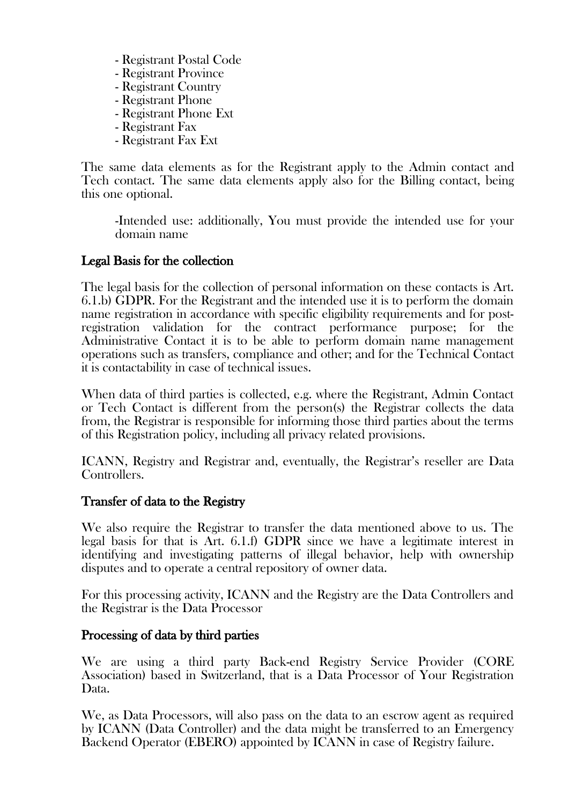- Registrant Postal Code
- Registrant Province
- Registrant Country
- Registrant Phone
- Registrant Phone Ext
- Registrant Fax
- Registrant Fax Ext

The same data elements as for the Registrant apply to the Admin contact and Tech contact. The same data elements apply also for the Billing contact, being this one optional.

-Intended use: additionally, You must provide the intended use for your domain name

## Legal Basis for the collection

The legal basis for the collection of personal information on these contacts is Art. 6.1.b) GDPR. For the Registrant and the intended use it is to perform the domain name registration in accordance with specific eligibility requirements and for postregistration validation for the contract performance purpose; for the Administrative Contact it is to be able to perform domain name management operations such as transfers, compliance and other; and for the Technical Contact it is contactability in case of technical issues.

When data of third parties is collected, e.g. where the Registrant, Admin Contact or Tech Contact is different from the person(s) the Registrar collects the data from, the Registrar is responsible for informing those third parties about the terms of this Registration policy, including all privacy related provisions.

ICANN, Registry and Registrar and, eventually, the Registrar's reseller are Data Controllers.

## Transfer of data to the Registry

We also require the Registrar to transfer the data mentioned above to us. The legal basis for that is Art. 6.1.f) GDPR since we have a legitimate interest in identifying and investigating patterns of illegal behavior, help with ownership disputes and to operate a central repository of owner data.

For this processing activity, ICANN and the Registry are the Data Controllers and the Registrar is the Data Processor

## Processing of data by third parties

We are using a third party Back-end Registry Service Provider (CORE Association) based in Switzerland, that is a Data Processor of Your Registration Data.

We, as Data Processors, will also pass on the data to an escrow agent as required by ICANN (Data Controller) and the data might be transferred to an Emergency Backend Operator (EBERO) appointed by ICANN in case of Registry failure.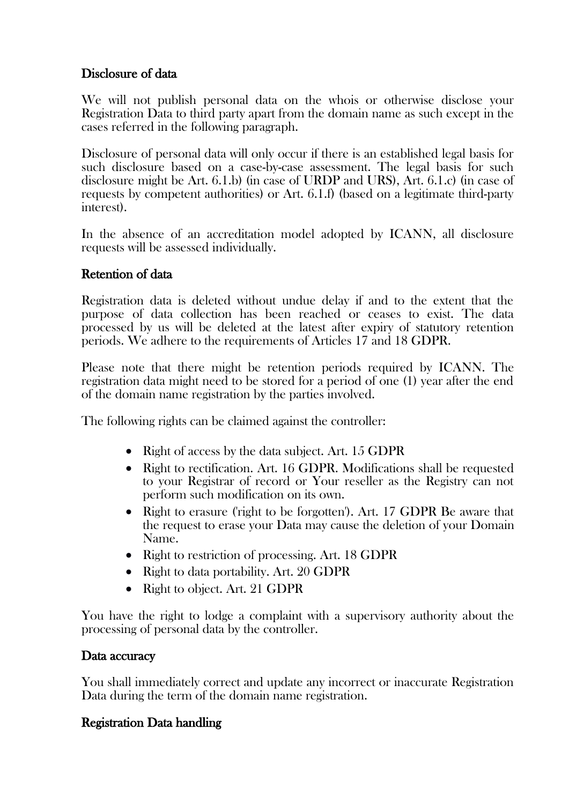## Disclosure of data

We will not publish personal data on the whois or otherwise disclose your Registration Data to third party apart from the domain name as such except in the cases referred in the following paragraph.

Disclosure of personal data will only occur if there is an established legal basis for such disclosure based on a case-by-case assessment. The legal basis for such disclosure might be Art. 6.1.b) (in case of URDP and URS), Art. 6.1.c) (in case of requests by competent authorities) or Art. 6.1.f) (based on a legitimate third-party interest).

In the absence of an accreditation model adopted by ICANN, all disclosure requests will be assessed individually.

#### Retention of data

Registration data is deleted without undue delay if and to the extent that the purpose of data collection has been reached or ceases to exist. The data processed by us will be deleted at the latest after expiry of statutory retention periods. We adhere to the requirements of Articles 17 and 18 GDPR.

Please note that there might be retention periods required by ICANN. The registration data might need to be stored for a period of one (1) year after the end of the domain name registration by the parties involved.

The following rights can be claimed against the controller:

- Right of access by the data subject. Art. 15 GDPR
- Right to rectification. Art. 16 GDPR. Modifications shall be requested to your Registrar of record or Your reseller as the Registry can not perform such modification on its own.
- Right to erasure ('right to be forgotten'). Art. 17 GDPR Be aware that the request to erase your Data may cause the deletion of your Domain Name.
- Right to restriction of processing. Art. 18 GDPR
- Right to data portability. Art. 20 GDPR
- Right to object. Art. 21 GDPR

You have the right to lodge a complaint with a supervisory authority about the processing of personal data by the controller.

#### Data accuracy

You shall immediately correct and update any incorrect or inaccurate Registration Data during the term of the domain name registration.

#### Registration Data handling